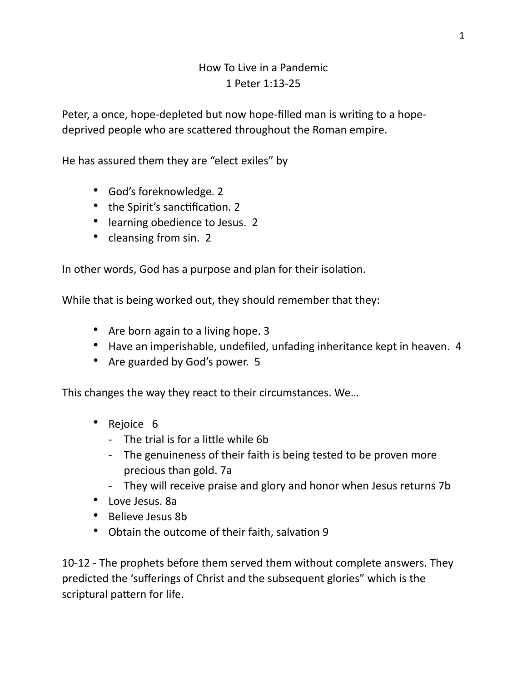## How To Live in a Pandemic 1 Peter 1:13-25

Peter, a once, hope-depleted but now hope-filled man is writing to a hopedeprived people who are scattered throughout the Roman empire.

He has assured them they are "elect exiles" by

- God's foreknowledge. 2
- the Spirit's sanctification. 2
- learning obedience to Jesus. 2
- cleansing from sin. 2

In other words, God has a purpose and plan for their isolation.

While that is being worked out, they should remember that they:

- Are born again to a living hope. 3
- Have an imperishable, undefiled, unfading inheritance kept in heaven. 4
- Are guarded by God's power. 5

This changes the way they react to their circumstances. We…

- Rejoice 6
	- The trial is for a little while 6b
	- The genuineness of their faith is being tested to be proven more precious than gold. 7a
	- They will receive praise and glory and honor when Jesus returns 7b
- Love Jesus. 8a
- Believe Jesus 8b
- Obtain the outcome of their faith, salvation 9

10-12 - The prophets before them served them without complete answers. They predicted the 'sufferings of Christ and the subsequent glories" which is the scriptural pattern for life.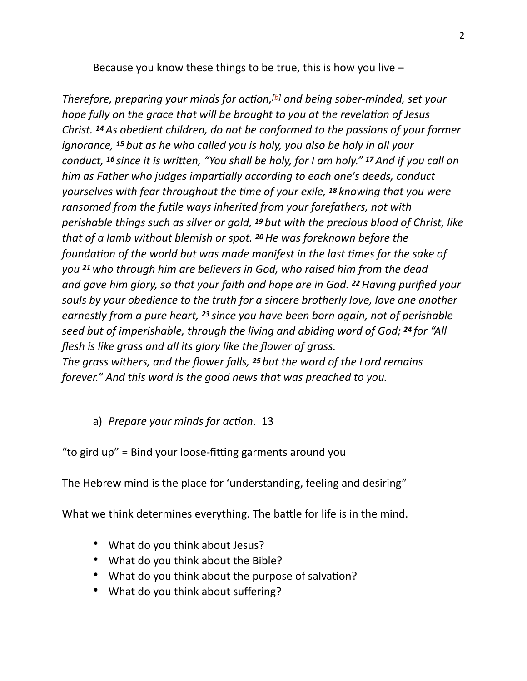Because you know these things to be true, this is how you live  $-$ 

*Therefore, preparing your minds for ac4on,[[b\]](https://www.biblegateway.com/passage/?search=1+Peter+1&version=ESV#fen-ESV-30371b) and being sober-minded, set your hope fully on the grace that will be brought to you at the revelation of Jesus Christ. 14 As obedient children, do not be conformed to the passions of your former ignorance, 15 but as he who called you is holy, you also be holy in all your conduct, <sup>16</sup> since it is written, "You shall be holy, for I am holy." <sup>17</sup> And if you call on him as Father who judges impartially according to each one's deeds, conduct yourselves with fear throughout the 4me of your exile, 18 knowing that you were ransomed from the futile ways inherited from your forefathers, not with perishable things such as silver or gold, 19 but with the precious blood of Christ, like that of a lamb without blemish or spot. 20 He was foreknown before the foundation of the world but was made manifest in the last times for the sake of you 21 who through him are believers in God, who raised him from the dead and gave him glory, so that your faith and hope are in God. 22 Having purified your souls by your obedience to the truth for a sincere brotherly love, love one another earnestly from a pure heart, 23 since you have been born again, not of perishable seed but of imperishable, through the living and abiding word of God; 24 for "All flesh is like grass and all its glory like the flower of grass. The grass withers, and the flower falls, 25 but the word of the Lord remains forever." And this word is the good news that was preached to you.* 

## a) *Prepare your minds for action*. 13

"to gird  $up$ " = Bind your loose-fitting garments around you

The Hebrew mind is the place for 'understanding, feeling and desiring"

What we think determines everything. The battle for life is in the mind.

- What do you think about Jesus?
- What do you think about the Bible?
- What do you think about the purpose of salvation?
- What do you think about suffering?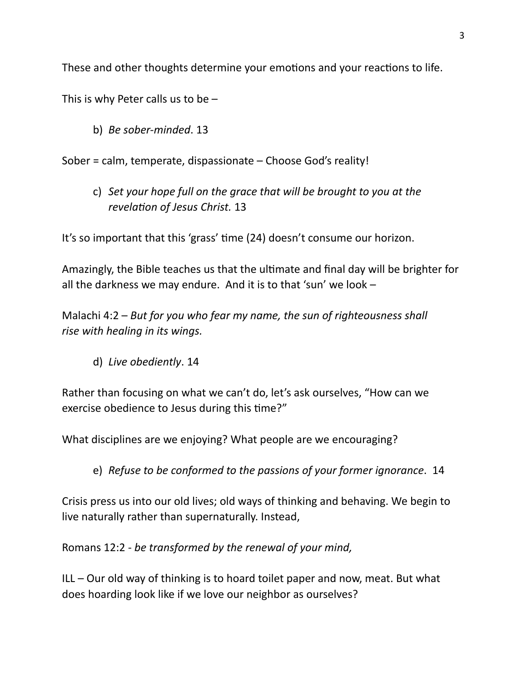These and other thoughts determine your emotions and your reactions to life.

This is why Peter calls us to be  $-$ 

b) *Be sober-minded*. 13

Sober = calm, temperate, dispassionate – Choose God's reality!

c) *Set your hope full on the grace that will be brought to you at the revelation of Jesus Christ.* 13

It's so important that this 'grass' time (24) doesn't consume our horizon.

Amazingly, the Bible teaches us that the ultimate and final day will be brighter for all the darkness we may endure. And it is to that 'sun' we look –

Malachi 4:2 – *But for you who fear my name, the sun of righteousness shall rise with healing in its wings.*

d) *Live obediently*. 14

Rather than focusing on what we can't do, let's ask ourselves, "How can we exercise obedience to Jesus during this time?"

What disciplines are we enjoying? What people are we encouraging?

e) *Refuse to be conformed to the passions of your former ignorance*. 14

Crisis press us into our old lives; old ways of thinking and behaving. We begin to live naturally rather than supernaturally. Instead,

Romans 12:2 - *be transformed by the renewal of your mind,* 

ILL – Our old way of thinking is to hoard toilet paper and now, meat. But what does hoarding look like if we love our neighbor as ourselves?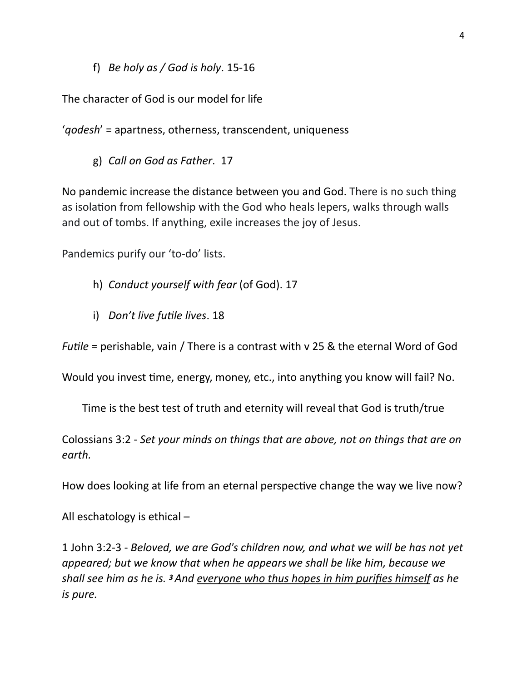f) *Be holy as / God is holy*. 15-16

The character of God is our model for life

'*qodesh*' = apartness, otherness, transcendent, uniqueness

g) *Call on God as Father*. 17

No pandemic increase the distance between you and God. There is no such thing as isolation from fellowship with the God who heals lepers, walks through walls and out of tombs. If anything, exile increases the joy of Jesus.

Pandemics purify our 'to-do' lists.

- h) *Conduct yourself with fear* (of God). 17
- i) *Don't live futile lives*. 18

*Futile* = perishable, vain / There is a contrast with v 25 & the eternal Word of God

Would you invest time, energy, money, etc., into anything you know will fail? No.

Time is the best test of truth and eternity will reveal that God is truth/true

Colossians 3:2 - *Set your minds on things that are above, not on things that are on earth.* 

How does looking at life from an eternal perspective change the way we live now?

All eschatology is ethical –

1 John 3:2-3 - *Beloved, we are God's children now, and what we will be has not yet appeared; but we know that when he appears we shall be like him, because we shall see him as he is. 3 And everyone who thus hopes in him purifies himself as he is pure.*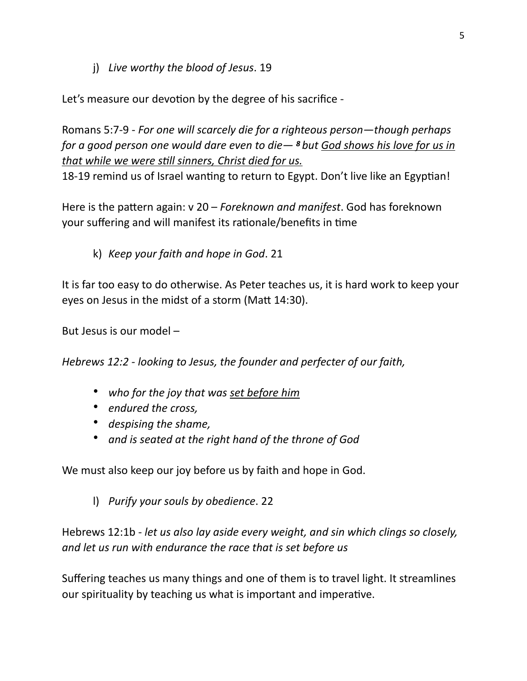j) *Live worthy the blood of Jesus*. 19

Let's measure our devotion by the degree of his sacrifice -

Romans 5:7-9 - *For one will scarcely die for a righteous person—though perhaps for a good person one would dare even to die— 8 but God shows his love for us in that while we were still sinners, Christ died for us.* 

18-19 remind us of Israel wanting to return to Egypt. Don't live like an Egyptian!

Here is the pattern again: v 20 – *Foreknown and manifest*. God has foreknown your suffering and will manifest its rationale/benefits in time

k) *Keep your faith and hope in God*. 21

It is far too easy to do otherwise. As Peter teaches us, it is hard work to keep your eyes on Jesus in the midst of a storm (Matt 14:30).

But Jesus is our model –

*Hebrews 12:2 - looking to Jesus, the founder and perfecter of our faith,* 

- *who for the joy that was set before him*
- *endured the cross,*
- *despising the shame,*
- *and is seated at the right hand of the throne of God*

We must also keep our joy before us by faith and hope in God.

l) *Purify your souls by obedience*. 22

Hebrews 12:1b - *let us also lay aside every weight, and sin which clings so closely, and let us run with endurance the race that is set before us* 

Suffering teaches us many things and one of them is to travel light. It streamlines our spirituality by teaching us what is important and imperative.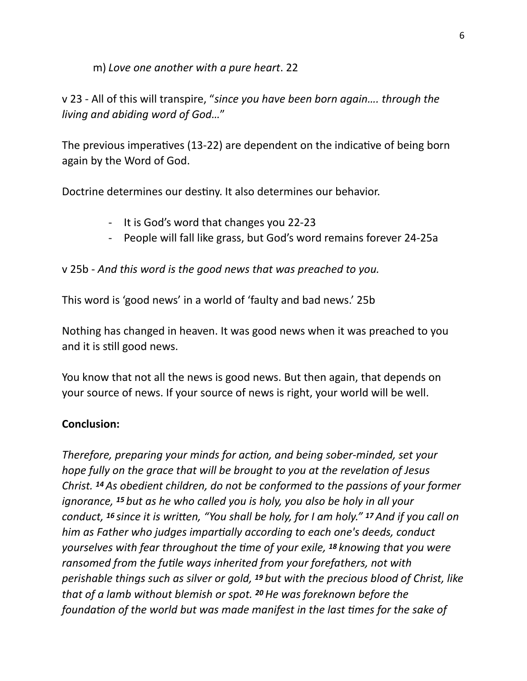m) *Love one another with a pure heart*. 22

v 23 - All of this will transpire, "*since you have been born again…. through the living and abiding word of God…*"

The previous imperatives (13-22) are dependent on the indicative of being born again by the Word of God.

Doctrine determines our destiny. It also determines our behavior.

- It is God's word that changes you 22-23
- People will fall like grass, but God's word remains forever 24-25a

v 25b - *And this word is the good news that was preached to you.* 

This word is 'good news' in a world of 'faulty and bad news.' 25b

Nothing has changed in heaven. It was good news when it was preached to you and it is still good news.

You know that not all the news is good news. But then again, that depends on your source of news. If your source of news is right, your world will be well.

## **Conclusion:**

*Therefore, preparing your minds for action, and being sober-minded, set your hope fully on the grace that will be brought to you at the revelation of Jesus Christ. 14 As obedient children, do not be conformed to the passions of your former ignorance, 15 but as he who called you is holy, you also be holy in all your conduct, <sup>16</sup> since it is written, "You shall be holy, for I am holy." <sup>17</sup> And if you call on him as Father who judges impartially according to each one's deeds, conduct yourselves with fear throughout the 4me of your exile, 18 knowing that you were ransomed from the futile ways inherited from your forefathers, not with perishable things such as silver or gold, 19 but with the precious blood of Christ, like that of a lamb without blemish or spot. 20 He was foreknown before the foundation of the world but was made manifest in the last times for the sake of*